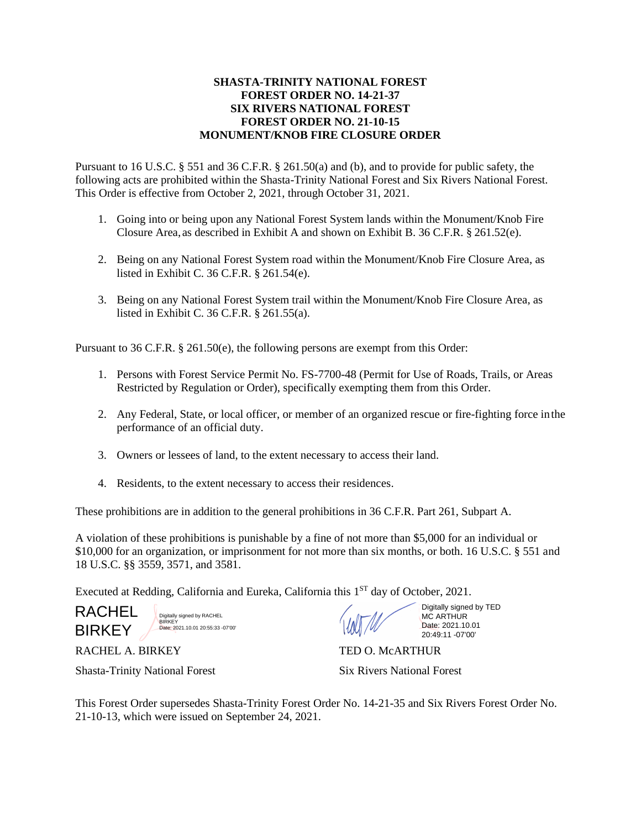## **SHASTA-TRINITY NATIONAL FOREST FOREST ORDER NO. 14-21-37 SIX RIVERS NATIONAL FOREST FOREST ORDER NO. 21-10-15 MONUMENT/KNOB FIRE CLOSURE ORDER**

Pursuant to 16 U.S.C. § 551 and 36 C.F.R. § 261.50(a) and (b), and to provide for public safety, the following acts are prohibited within the Shasta-Trinity National Forest and Six Rivers National Forest. This Order is effective from October 2, 2021, through October 31, 2021.

- 1. Going into or being upon any National Forest System lands within the Monument/Knob Fire Closure Area, as described in Exhibit A and shown on Exhibit B. 36 C.F.R. § 261.52(e).
- 2. Being on any National Forest System road within the Monument/Knob Fire Closure Area, as listed in Exhibit C. 36 C.F.R. § 261.54(e).
- 3. Being on any National Forest System trail within the Monument/Knob Fire Closure Area, as listed in Exhibit C. 36 C.F.R. § 261.55(a).

Pursuant to 36 C.F.R. § 261.50(e), the following persons are exempt from this Order:

- 1. Persons with Forest Service Permit No. FS-7700-48 (Permit for Use of Roads, Trails, or Areas Restricted by Regulation or Order), specifically exempting them from this Order.
- 2. Any Federal, State, or local officer, or member of an organized rescue or fire-fighting force inthe performance of an official duty.
- 3. Owners or lessees of land, to the extent necessary to access their land.
- 4. Residents, to the extent necessary to access their residences.

These prohibitions are in addition to the general prohibitions in 36 C.F.R. Part 261, Subpart A.

A violation of these prohibitions is punishable by a fine of not more than \$5,000 for an individual or \$10,000 for an organization, or imprisonment for not more than six months, or both. 16 U.S.C. § 551 and 18 U.S.C. §§ 3559, 3571, and 3581.

Executed at Redding, California and Eureka, California this 1<sup>ST</sup> day of October, 2021.

RACHEL **BIRKEY** 

Digitally signed by RACHEL BIRKEY Date: 2021.10.01 20:55:33 -07'00'

RACHEL A. BIRKEY TED O. MCARTHUR

Digitally signed by TED MC ARTHUR Date: 2021.10.01 20:49:11 -07'00'

Shasta-Trinity National Forest Six Rivers National Forest

This Forest Order supersedes Shasta-Trinity Forest Order No. 14-21-35 and Six Rivers Forest Order No. 21-10-13, which were issued on September 24, 2021.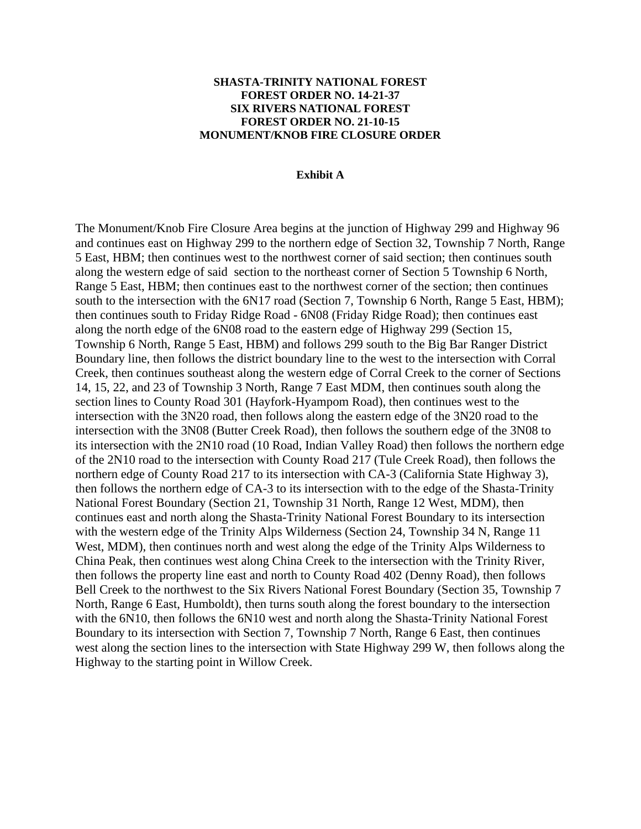## **SHASTA-TRINITY NATIONAL FOREST FOREST ORDER NO. 14-21-37 SIX RIVERS NATIONAL FOREST FOREST ORDER NO. 21-10-15 MONUMENT/KNOB FIRE CLOSURE ORDER**

## **Exhibit A**

The Monument/Knob Fire Closure Area begins at the junction of Highway 299 and Highway 96 and continues east on Highway 299 to the northern edge of Section 32, Township 7 North, Range 5 East, HBM; then continues west to the northwest corner of said section; then continues south along the western edge of said section to the northeast corner of Section 5 Township 6 North, Range 5 East, HBM; then continues east to the northwest corner of the section; then continues south to the intersection with the 6N17 road (Section 7, Township 6 North, Range 5 East, HBM); then continues south to Friday Ridge Road - 6N08 (Friday Ridge Road); then continues east along the north edge of the 6N08 road to the eastern edge of Highway 299 (Section 15, Township 6 North, Range 5 East, HBM) and follows 299 south to the Big Bar Ranger District Boundary line, then follows the district boundary line to the west to the intersection with Corral Creek, then continues southeast along the western edge of Corral Creek to the corner of Sections 14, 15, 22, and 23 of Township 3 North, Range 7 East MDM, then continues south along the section lines to County Road 301 (Hayfork-Hyampom Road), then continues west to the intersection with the 3N20 road, then follows along the eastern edge of the 3N20 road to the intersection with the 3N08 (Butter Creek Road), then follows the southern edge of the 3N08 to its intersection with the 2N10 road (10 Road, Indian Valley Road) then follows the northern edge of the 2N10 road to the intersection with County Road 217 (Tule Creek Road), then follows the northern edge of County Road 217 to its intersection with CA-3 (California State Highway 3), then follows the northern edge of CA-3 to its intersection with to the edge of the Shasta-Trinity National Forest Boundary (Section 21, Township 31 North, Range 12 West, MDM), then continues east and north along the Shasta-Trinity National Forest Boundary to its intersection with the western edge of the Trinity Alps Wilderness (Section 24, Township 34 N, Range 11 West, MDM), then continues north and west along the edge of the Trinity Alps Wilderness to China Peak, then continues west along China Creek to the intersection with the Trinity River, then follows the property line east and north to County Road 402 (Denny Road), then follows Bell Creek to the northwest to the Six Rivers National Forest Boundary (Section 35, Township 7 North, Range 6 East, Humboldt), then turns south along the forest boundary to the intersection with the 6N10, then follows the 6N10 west and north along the Shasta-Trinity National Forest Boundary to its intersection with Section 7, Township 7 North, Range 6 East, then continues west along the section lines to the intersection with State Highway 299 W, then follows along the Highway to the starting point in Willow Creek.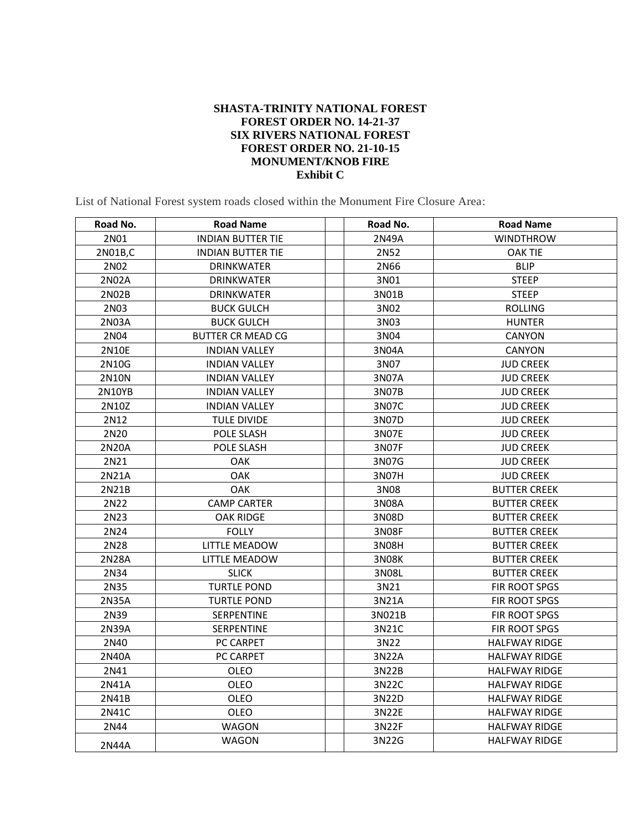## **SHASTA-TRINITY NATIONAL FOREST FOREST ORDER NO. 14-21-37 SIX RIVERS NATIONAL FOREST FOREST ORDER NO. 21-10-15 MONUMENT/KNOB FIRE Exhibit C**

List of National Forest system roads closed within the Monument Fire Closure Area:

| Road No.     | <b>Road Name</b>         | Road No.     | <b>Road Name</b>     |
|--------------|--------------------------|--------------|----------------------|
| 2N01         | <b>INDIAN BUTTER TIE</b> | 2N49A        | <b>WINDTHROW</b>     |
| 2N01B,C      | <b>INDIAN BUTTER TIE</b> | 2N52         | <b>OAK TIE</b>       |
| 2N02         | <b>DRINKWATER</b>        | 2N66         | <b>BLIP</b>          |
| 2N02A        | <b>DRINKWATER</b>        | 3N01         | <b>STEEP</b>         |
| 2N02B        | <b>DRINKWATER</b>        | 3N01B        | <b>STEEP</b>         |
| 2N03         | <b>BUCK GULCH</b>        | 3N02         | <b>ROLLING</b>       |
| 2N03A        | <b>BUCK GULCH</b>        | 3N03         | <b>HUNTER</b>        |
| 2N04         | <b>BUTTER CR MEAD CG</b> | 3N04         | CANYON               |
| 2N10E        | <b>INDIAN VALLEY</b>     | 3N04A        | <b>CANYON</b>        |
| 2N10G        | <b>INDIAN VALLEY</b>     | 3N07         | <b>JUD CREEK</b>     |
| <b>2N10N</b> | <b>INDIAN VALLEY</b>     | 3N07A        | <b>JUD CREEK</b>     |
| 2N10YB       | <b>INDIAN VALLEY</b>     | 3N07B        | <b>JUD CREEK</b>     |
| 2N10Z        | <b>INDIAN VALLEY</b>     | 3N07C        | <b>JUD CREEK</b>     |
| 2N12         | <b>TULE DIVIDE</b>       | 3N07D        | <b>JUD CREEK</b>     |
| 2N20         | POLE SLASH               | 3N07E        | <b>JUD CREEK</b>     |
| 2N20A        | POLE SLASH               | 3N07F        | <b>JUD CREEK</b>     |
| 2N21         | OAK                      | 3N07G        | <b>JUD CREEK</b>     |
| 2N21A        | <b>OAK</b>               | 3N07H        | <b>JUD CREEK</b>     |
| 2N21B        | <b>OAK</b>               | 3N08         | <b>BUTTER CREEK</b>  |
| 2N22         | <b>CAMP CARTER</b>       | 3N08A        | <b>BUTTER CREEK</b>  |
| 2N23         | OAK RIDGE                | 3N08D        | <b>BUTTER CREEK</b>  |
| 2N24         | <b>FOLLY</b>             | 3N08F        | <b>BUTTER CREEK</b>  |
| 2N28         | LITTLE MEADOW            | 3N08H        | <b>BUTTER CREEK</b>  |
| 2N28A        | <b>LITTLE MEADOW</b>     | <b>3N08K</b> | <b>BUTTER CREEK</b>  |
| 2N34         | <b>SLICK</b>             | 3N08L        | <b>BUTTER CREEK</b>  |
| 2N35         | <b>TURTLE POND</b>       | 3N21         | FIR ROOT SPGS        |
| 2N35A        | <b>TURTLE POND</b>       | 3N21A        | FIR ROOT SPGS        |
| 2N39         | SERPENTINE               | 3N021B       | FIR ROOT SPGS        |
| 2N39A        | SERPENTINE               | 3N21C        | FIR ROOT SPGS        |
| 2N40         | PC CARPET                | 3N22         | <b>HALFWAY RIDGE</b> |
| 2N40A        | PC CARPET                | 3N22A        | <b>HALFWAY RIDGE</b> |
| 2N41         | OLEO                     | 3N22B        | <b>HALFWAY RIDGE</b> |
| 2N41A        | OLEO                     | 3N22C        | <b>HALFWAY RIDGE</b> |
| 2N41B        | OLEO                     | 3N22D        | <b>HALFWAY RIDGE</b> |
| 2N41C        | OLEO                     | 3N22E        | <b>HALFWAY RIDGE</b> |
| 2N44         | <b>WAGON</b>             | 3N22F        | <b>HALFWAY RIDGE</b> |
| 2N44A        | WAGON                    | 3N22G        | <b>HALFWAY RIDGE</b> |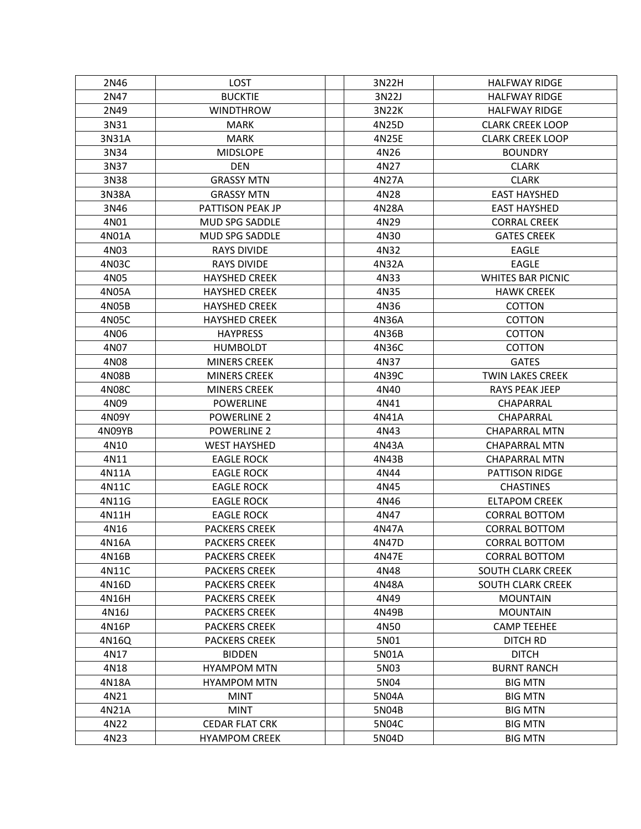| 2N46   | LOST                  | 3N22H | <b>HALFWAY RIDGE</b>     |
|--------|-----------------------|-------|--------------------------|
| 2N47   | <b>BUCKTIE</b>        | 3N22J | <b>HALFWAY RIDGE</b>     |
| 2N49   | <b>WINDTHROW</b>      | 3N22K | <b>HALFWAY RIDGE</b>     |
| 3N31   | <b>MARK</b>           | 4N25D | <b>CLARK CREEK LOOP</b>  |
| 3N31A  | <b>MARK</b>           | 4N25E | <b>CLARK CREEK LOOP</b>  |
| 3N34   | <b>MIDSLOPE</b>       | 4N26  | <b>BOUNDRY</b>           |
| 3N37   | <b>DEN</b>            | 4N27  | <b>CLARK</b>             |
| 3N38   | <b>GRASSY MTN</b>     | 4N27A | <b>CLARK</b>             |
| 3N38A  | <b>GRASSY MTN</b>     | 4N28  | <b>EAST HAYSHED</b>      |
| 3N46   | PATTISON PEAK JP      | 4N28A | <b>EAST HAYSHED</b>      |
| 4N01   | MUD SPG SADDLE        | 4N29  | <b>CORRAL CREEK</b>      |
| 4N01A  | MUD SPG SADDLE        | 4N30  | <b>GATES CREEK</b>       |
| 4N03   | <b>RAYS DIVIDE</b>    | 4N32  | EAGLE                    |
| 4N03C  | <b>RAYS DIVIDE</b>    | 4N32A | <b>EAGLE</b>             |
| 4N05   | <b>HAYSHED CREEK</b>  | 4N33  | <b>WHITES BAR PICNIC</b> |
| 4N05A  | <b>HAYSHED CREEK</b>  | 4N35  | <b>HAWK CREEK</b>        |
| 4N05B  | <b>HAYSHED CREEK</b>  | 4N36  | COTTON                   |
| 4N05C  | <b>HAYSHED CREEK</b>  | 4N36A | <b>COTTON</b>            |
| 4N06   | <b>HAYPRESS</b>       | 4N36B | COTTON                   |
| 4N07   | <b>HUMBOLDT</b>       | 4N36C | <b>COTTON</b>            |
| 4N08   | <b>MINERS CREEK</b>   | 4N37  | <b>GATES</b>             |
| 4N08B  | <b>MINERS CREEK</b>   | 4N39C | <b>TWIN LAKES CREEK</b>  |
| 4N08C  | <b>MINERS CREEK</b>   | 4N40  | <b>RAYS PEAK JEEP</b>    |
| 4N09   | <b>POWERLINE</b>      | 4N41  | CHAPARRAL                |
| 4N09Y  | <b>POWERLINE 2</b>    | 4N41A | CHAPARRAL                |
| 4N09YB | <b>POWERLINE 2</b>    | 4N43  | <b>CHAPARRAL MTN</b>     |
| 4N10   | <b>WEST HAYSHED</b>   | 4N43A | <b>CHAPARRAL MTN</b>     |
| 4N11   | <b>EAGLE ROCK</b>     | 4N43B | <b>CHAPARRAL MTN</b>     |
| 4N11A  | <b>EAGLE ROCK</b>     | 4N44  | PATTISON RIDGE           |
| 4N11C  | <b>EAGLE ROCK</b>     | 4N45  | <b>CHASTINES</b>         |
| 4N11G  | <b>EAGLE ROCK</b>     | 4N46  | <b>ELTAPOM CREEK</b>     |
| 4N11H  | <b>EAGLE ROCK</b>     | 4N47  | <b>CORRAL BOTTOM</b>     |
| 4N16   | <b>PACKERS CREEK</b>  | 4N47A | <b>CORRAL BOTTOM</b>     |
| 4N16A  | <b>PACKERS CREEK</b>  | 4N47D | <b>CORRAL BOTTOM</b>     |
| 4N16B  | <b>PACKERS CREEK</b>  | 4N47E | <b>CORRAL BOTTOM</b>     |
| 4N11C  | <b>PACKERS CREEK</b>  | 4N48  | <b>SOUTH CLARK CREEK</b> |
| 4N16D  | <b>PACKERS CREEK</b>  | 4N48A | <b>SOUTH CLARK CREEK</b> |
| 4N16H  | <b>PACKERS CREEK</b>  | 4N49  | <b>MOUNTAIN</b>          |
| 4N16J  | <b>PACKERS CREEK</b>  | 4N49B | <b>MOUNTAIN</b>          |
| 4N16P  | <b>PACKERS CREEK</b>  | 4N50  | <b>CAMP TEEHEE</b>       |
| 4N16Q  | <b>PACKERS CREEK</b>  | 5N01  | DITCH RD                 |
| 4N17   | <b>BIDDEN</b>         | 5N01A | <b>DITCH</b>             |
| 4N18   | <b>HYAMPOM MTN</b>    | 5N03  | <b>BURNT RANCH</b>       |
| 4N18A  | <b>HYAMPOM MTN</b>    | 5N04  | <b>BIG MTN</b>           |
| 4N21   | <b>MINT</b>           | 5N04A | <b>BIG MTN</b>           |
| 4N21A  | <b>MINT</b>           | 5N04B | <b>BIG MTN</b>           |
| 4N22   | <b>CEDAR FLAT CRK</b> | 5N04C | <b>BIG MTN</b>           |
| 4N23   | <b>HYAMPOM CREEK</b>  | 5N04D | <b>BIG MTN</b>           |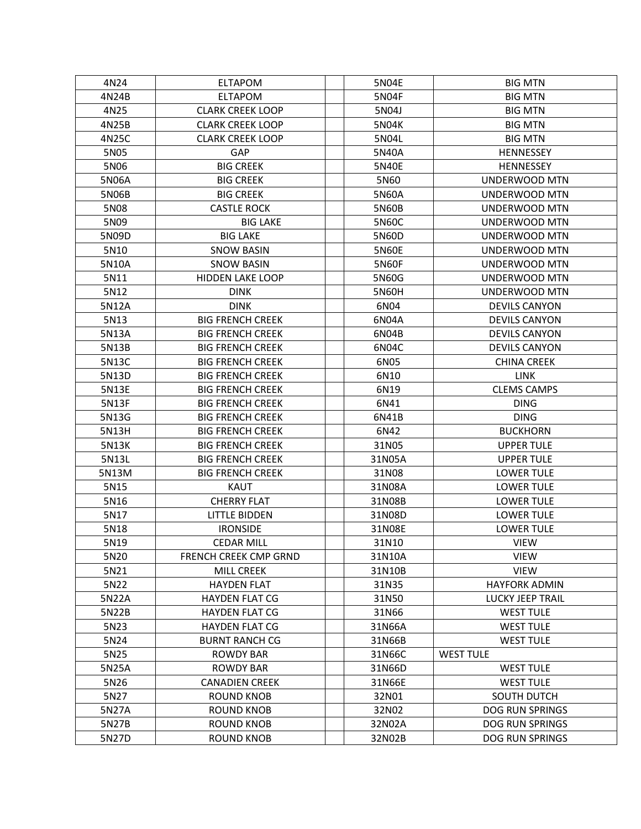| 4N24  | <b>ELTAPOM</b>          | 5N04E        | <b>BIG MTN</b>         |
|-------|-------------------------|--------------|------------------------|
| 4N24B | <b>ELTAPOM</b>          | 5N04F        | <b>BIG MTN</b>         |
| 4N25  | <b>CLARK CREEK LOOP</b> | 5N04J        | <b>BIG MTN</b>         |
| 4N25B | <b>CLARK CREEK LOOP</b> | 5N04K        | <b>BIG MTN</b>         |
| 4N25C | <b>CLARK CREEK LOOP</b> | 5N04L        | <b>BIG MTN</b>         |
| 5N05  | <b>GAP</b>              | 5N40A        | <b>HENNESSEY</b>       |
| 5N06  | <b>BIG CREEK</b>        | 5N40E        | <b>HENNESSEY</b>       |
| 5N06A | <b>BIG CREEK</b>        | 5N60         | UNDERWOOD MTN          |
| 5N06B | <b>BIG CREEK</b>        | 5N60A        | UNDERWOOD MTN          |
| 5N08  | <b>CASTLE ROCK</b>      | 5N60B        | UNDERWOOD MTN          |
| 5N09  | <b>BIG LAKE</b>         | 5N60C        | <b>UNDERWOOD MTN</b>   |
| 5N09D | <b>BIG LAKE</b>         | 5N60D        | UNDERWOOD MTN          |
| 5N10  | <b>SNOW BASIN</b>       | 5N60E        | UNDERWOOD MTN          |
| 5N10A | <b>SNOW BASIN</b>       | <b>5N60F</b> | UNDERWOOD MTN          |
| 5N11  | <b>HIDDEN LAKE LOOP</b> | 5N60G        | UNDERWOOD MTN          |
| 5N12  | <b>DINK</b>             | 5N60H        | UNDERWOOD MTN          |
| 5N12A | <b>DINK</b>             | 6N04         | <b>DEVILS CANYON</b>   |
| 5N13  | <b>BIG FRENCH CREEK</b> | 6N04A        | <b>DEVILS CANYON</b>   |
| 5N13A | <b>BIG FRENCH CREEK</b> | 6N04B        | <b>DEVILS CANYON</b>   |
| 5N13B | <b>BIG FRENCH CREEK</b> | 6N04C        | <b>DEVILS CANYON</b>   |
| 5N13C | <b>BIG FRENCH CREEK</b> | 6N05         | <b>CHINA CREEK</b>     |
| 5N13D | <b>BIG FRENCH CREEK</b> | 6N10         | <b>LINK</b>            |
| 5N13E | <b>BIG FRENCH CREEK</b> | 6N19         | <b>CLEMS CAMPS</b>     |
| 5N13F | <b>BIG FRENCH CREEK</b> | 6N41         | <b>DING</b>            |
| 5N13G | <b>BIG FRENCH CREEK</b> | 6N41B        | <b>DING</b>            |
| 5N13H | <b>BIG FRENCH CREEK</b> | 6N42         | <b>BUCKHORN</b>        |
| 5N13K | <b>BIG FRENCH CREEK</b> | 31N05        | <b>UPPER TULE</b>      |
| 5N13L | <b>BIG FRENCH CREEK</b> | 31N05A       | <b>UPPER TULE</b>      |
| 5N13M | <b>BIG FRENCH CREEK</b> | 31N08        | <b>LOWER TULE</b>      |
| 5N15  | KAUT                    | 31N08A       | <b>LOWER TULE</b>      |
| 5N16  | <b>CHERRY FLAT</b>      | 31N08B       | <b>LOWER TULE</b>      |
| 5N17  | <b>LITTLE BIDDEN</b>    | 31N08D       | <b>LOWER TULE</b>      |
| 5N18  | <b>IRONSIDE</b>         | 31N08E       | <b>LOWER TULE</b>      |
| 5N19  | <b>CEDAR MILL</b>       | 31N10        | <b>VIEW</b>            |
| 5N20  | FRENCH CREEK CMP GRND   | 31N10A       | <b>VIEW</b>            |
| 5N21  | <b>MILL CREEK</b>       | 31N10B       | <b>VIEW</b>            |
| 5N22  | <b>HAYDEN FLAT</b>      | 31N35        | <b>HAYFORK ADMIN</b>   |
| 5N22A | <b>HAYDEN FLAT CG</b>   | 31N50        | LUCKY JEEP TRAIL       |
| 5N22B | <b>HAYDEN FLAT CG</b>   | 31N66        | <b>WEST TULE</b>       |
| 5N23  | <b>HAYDEN FLAT CG</b>   | 31N66A       | <b>WEST TULE</b>       |
| 5N24  | <b>BURNT RANCH CG</b>   | 31N66B       | <b>WEST TULE</b>       |
| 5N25  | <b>ROWDY BAR</b>        | 31N66C       | <b>WEST TULE</b>       |
| 5N25A | <b>ROWDY BAR</b>        | 31N66D       | <b>WEST TULE</b>       |
| 5N26  | <b>CANADIEN CREEK</b>   | 31N66E       | <b>WEST TULE</b>       |
| 5N27  | <b>ROUND KNOB</b>       | 32N01        | SOUTH DUTCH            |
| 5N27A | <b>ROUND KNOB</b>       | 32N02        | <b>DOG RUN SPRINGS</b> |
| 5N27B | ROUND KNOB              | 32N02A       | <b>DOG RUN SPRINGS</b> |
| 5N27D | <b>ROUND KNOB</b>       | 32N02B       | <b>DOG RUN SPRINGS</b> |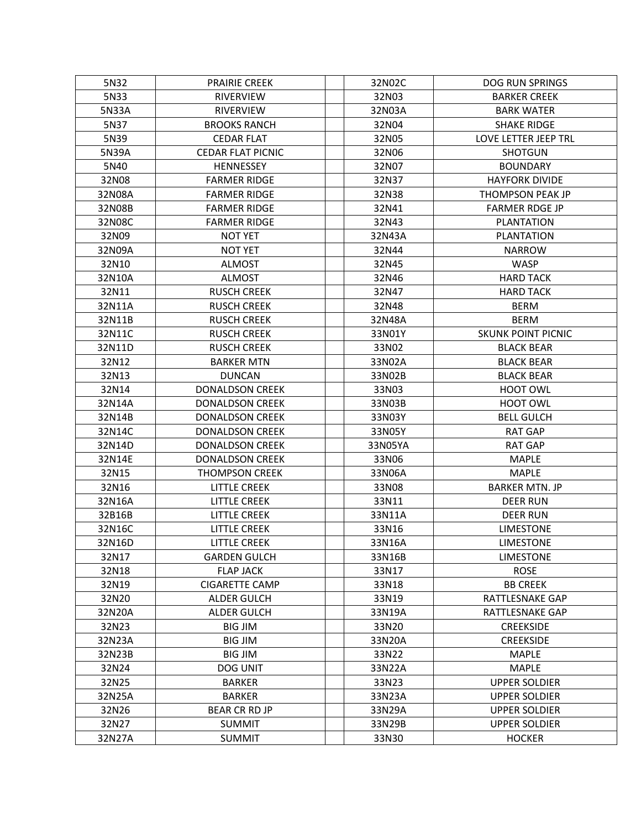| 5N32   | <b>PRAIRIE CREEK</b>     | 32N02C  | DOG RUN SPRINGS           |
|--------|--------------------------|---------|---------------------------|
| 5N33   | <b>RIVERVIEW</b>         | 32N03   | <b>BARKER CREEK</b>       |
| 5N33A  | <b>RIVERVIEW</b>         | 32N03A  | <b>BARK WATER</b>         |
| 5N37   | <b>BROOKS RANCH</b>      | 32N04   | <b>SHAKE RIDGE</b>        |
| 5N39   | <b>CEDAR FLAT</b>        | 32N05   | LOVE LETTER JEEP TRL      |
| 5N39A  | <b>CEDAR FLAT PICNIC</b> | 32N06   | <b>SHOTGUN</b>            |
| 5N40   | <b>HENNESSEY</b>         | 32N07   | <b>BOUNDARY</b>           |
| 32N08  | <b>FARMER RIDGE</b>      | 32N37   | <b>HAYFORK DIVIDE</b>     |
| 32N08A | <b>FARMER RIDGE</b>      | 32N38   | THOMPSON PEAK JP          |
| 32N08B | <b>FARMER RIDGE</b>      | 32N41   | <b>FARMER RDGE JP</b>     |
| 32N08C | <b>FARMER RIDGE</b>      | 32N43   | PLANTATION                |
| 32N09  | <b>NOT YET</b>           | 32N43A  | <b>PLANTATION</b>         |
| 32N09A | <b>NOT YET</b>           | 32N44   | <b>NARROW</b>             |
| 32N10  | <b>ALMOST</b>            | 32N45   | <b>WASP</b>               |
| 32N10A | <b>ALMOST</b>            | 32N46   | <b>HARD TACK</b>          |
| 32N11  | <b>RUSCH CREEK</b>       | 32N47   | <b>HARD TACK</b>          |
| 32N11A | <b>RUSCH CREEK</b>       | 32N48   | <b>BERM</b>               |
| 32N11B | <b>RUSCH CREEK</b>       | 32N48A  | <b>BERM</b>               |
| 32N11C | <b>RUSCH CREEK</b>       | 33N01Y  | <b>SKUNK POINT PICNIC</b> |
| 32N11D | <b>RUSCH CREEK</b>       | 33N02   | <b>BLACK BEAR</b>         |
| 32N12  | <b>BARKER MTN</b>        | 33N02A  | <b>BLACK BEAR</b>         |
| 32N13  | <b>DUNCAN</b>            | 33N02B  | <b>BLACK BEAR</b>         |
| 32N14  | <b>DONALDSON CREEK</b>   | 33N03   | <b>HOOT OWL</b>           |
| 32N14A | <b>DONALDSON CREEK</b>   | 33N03B  | <b>HOOT OWL</b>           |
| 32N14B | <b>DONALDSON CREEK</b>   | 33N03Y  | <b>BELL GULCH</b>         |
| 32N14C | <b>DONALDSON CREEK</b>   | 33N05Y  | <b>RAT GAP</b>            |
| 32N14D | <b>DONALDSON CREEK</b>   | 33N05YA | <b>RAT GAP</b>            |
| 32N14E | <b>DONALDSON CREEK</b>   | 33N06   | <b>MAPLE</b>              |
| 32N15  | <b>THOMPSON CREEK</b>    | 33N06A  | <b>MAPLE</b>              |
| 32N16  | <b>LITTLE CREEK</b>      | 33N08   | <b>BARKER MTN. JP</b>     |
| 32N16A | <b>LITTLE CREEK</b>      | 33N11   | <b>DEER RUN</b>           |
| 32B16B | <b>LITTLE CREEK</b>      | 33N11A  | <b>DEER RUN</b>           |
| 32N16C | <b>LITTLE CREEK</b>      | 33N16   | <b>LIMESTONE</b>          |
| 32N16D | <b>LITTLE CREEK</b>      | 33N16A  | <b>LIMESTONE</b>          |
| 32N17  | <b>GARDEN GULCH</b>      | 33N16B  | <b>LIMESTONE</b>          |
| 32N18  | <b>FLAP JACK</b>         | 33N17   | <b>ROSE</b>               |
| 32N19  | <b>CIGARETTE CAMP</b>    | 33N18   | <b>BB CREEK</b>           |
| 32N20  | ALDER GULCH              | 33N19   | RATTLESNAKE GAP           |
| 32N20A | <b>ALDER GULCH</b>       | 33N19A  | RATTLESNAKE GAP           |
| 32N23  | <b>BIG JIM</b>           | 33N20   | <b>CREEKSIDE</b>          |
| 32N23A | <b>BIG JIM</b>           | 33N20A  | <b>CREEKSIDE</b>          |
| 32N23B | <b>BIG JIM</b>           | 33N22   | <b>MAPLE</b>              |
| 32N24  | DOG UNIT                 | 33N22A  | <b>MAPLE</b>              |
| 32N25  | <b>BARKER</b>            | 33N23   | <b>UPPER SOLDIER</b>      |
| 32N25A | <b>BARKER</b>            | 33N23A  | <b>UPPER SOLDIER</b>      |
| 32N26  | <b>BEAR CR RD JP</b>     | 33N29A  | <b>UPPER SOLDIER</b>      |
| 32N27  | <b>SUMMIT</b>            | 33N29B  | <b>UPPER SOLDIER</b>      |
| 32N27A | <b>SUMMIT</b>            | 33N30   | <b>HOCKER</b>             |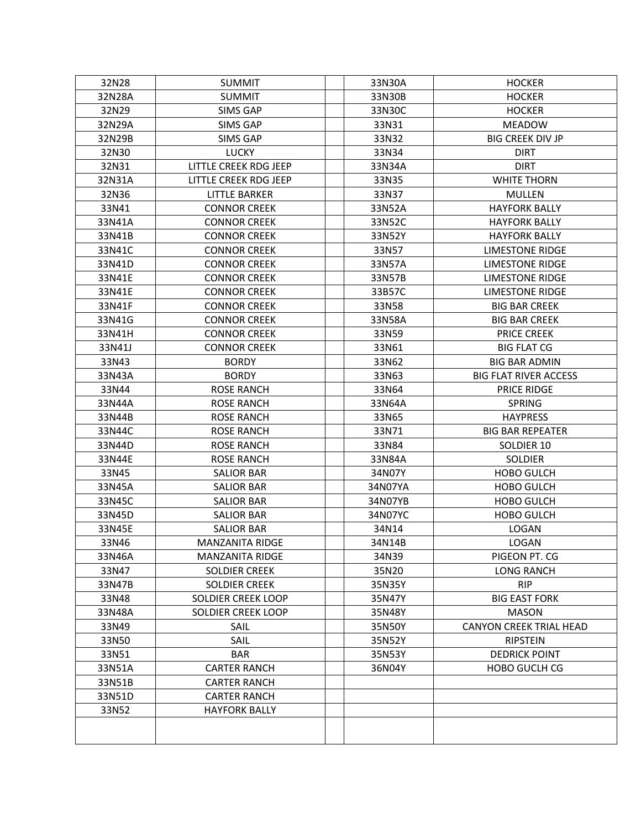| 32N28  | <b>SUMMIT</b>          | 33N30A  | <b>HOCKER</b>                  |
|--------|------------------------|---------|--------------------------------|
| 32N28A | <b>SUMMIT</b>          | 33N30B  | <b>HOCKER</b>                  |
| 32N29  | <b>SIMS GAP</b>        | 33N30C  | <b>HOCKER</b>                  |
| 32N29A | <b>SIMS GAP</b>        | 33N31   | <b>MEADOW</b>                  |
| 32N29B | <b>SIMS GAP</b>        | 33N32   | <b>BIG CREEK DIV JP</b>        |
| 32N30  | <b>LUCKY</b>           | 33N34   | <b>DIRT</b>                    |
| 32N31  | LITTLE CREEK RDG JEEP  | 33N34A  | <b>DIRT</b>                    |
| 32N31A | LITTLE CREEK RDG JEEP  | 33N35   | <b>WHITE THORN</b>             |
| 32N36  | <b>LITTLE BARKER</b>   | 33N37   | MULLEN                         |
| 33N41  | <b>CONNOR CREEK</b>    | 33N52A  | <b>HAYFORK BALLY</b>           |
| 33N41A | <b>CONNOR CREEK</b>    | 33N52C  | <b>HAYFORK BALLY</b>           |
| 33N41B | <b>CONNOR CREEK</b>    | 33N52Y  | <b>HAYFORK BALLY</b>           |
| 33N41C | <b>CONNOR CREEK</b>    | 33N57   | <b>LIMESTONE RIDGE</b>         |
| 33N41D | <b>CONNOR CREEK</b>    | 33N57A  | <b>LIMESTONE RIDGE</b>         |
| 33N41E | <b>CONNOR CREEK</b>    | 33N57B  | <b>LIMESTONE RIDGE</b>         |
| 33N41E | <b>CONNOR CREEK</b>    | 33B57C  | <b>LIMESTONE RIDGE</b>         |
| 33N41F | <b>CONNOR CREEK</b>    | 33N58   | <b>BIG BAR CREEK</b>           |
| 33N41G | <b>CONNOR CREEK</b>    | 33N58A  | <b>BIG BAR CREEK</b>           |
| 33N41H | <b>CONNOR CREEK</b>    | 33N59   | <b>PRICE CREEK</b>             |
| 33N41J | <b>CONNOR CREEK</b>    | 33N61   | <b>BIG FLAT CG</b>             |
| 33N43  | <b>BORDY</b>           | 33N62   | <b>BIG BAR ADMIN</b>           |
| 33N43A | <b>BORDY</b>           | 33N63   | <b>BIG FLAT RIVER ACCESS</b>   |
| 33N44  | <b>ROSE RANCH</b>      | 33N64   | <b>PRICE RIDGE</b>             |
| 33N44A | <b>ROSE RANCH</b>      | 33N64A  | <b>SPRING</b>                  |
| 33N44B | <b>ROSE RANCH</b>      | 33N65   | <b>HAYPRESS</b>                |
| 33N44C | <b>ROSE RANCH</b>      | 33N71   | <b>BIG BAR REPEATER</b>        |
| 33N44D | <b>ROSE RANCH</b>      | 33N84   | SOLDIER 10                     |
| 33N44E | <b>ROSE RANCH</b>      | 33N84A  | SOLDIER                        |
| 33N45  | <b>SALIOR BAR</b>      | 34N07Y  | <b>HOBO GULCH</b>              |
| 33N45A | <b>SALIOR BAR</b>      | 34N07YA | <b>HOBO GULCH</b>              |
| 33N45C | <b>SALIOR BAR</b>      | 34N07YB | <b>HOBO GULCH</b>              |
| 33N45D | <b>SALIOR BAR</b>      | 34N07YC | <b>HOBO GULCH</b>              |
| 33N45E | <b>SALIOR BAR</b>      | 34N14   | <b>LOGAN</b>                   |
| 33N46  | MANZANITA RIDGE        | 34N14B  | LOGAN                          |
| 33N46A | <b>MANZANITA RIDGE</b> | 34N39   | PIGEON PT. CG                  |
| 33N47  | <b>SOLDIER CREEK</b>   | 35N20   | <b>LONG RANCH</b>              |
| 33N47B | <b>SOLDIER CREEK</b>   | 35N35Y  | <b>RIP</b>                     |
| 33N48  | SOLDIER CREEK LOOP     | 35N47Y  | <b>BIG EAST FORK</b>           |
| 33N48A | SOLDIER CREEK LOOP     | 35N48Y  | <b>MASON</b>                   |
| 33N49  | <b>SAIL</b>            | 35N50Y  | <b>CANYON CREEK TRIAL HEAD</b> |
| 33N50  | SAIL                   | 35N52Y  | <b>RIPSTEIN</b>                |
| 33N51  | <b>BAR</b>             | 35N53Y  | <b>DEDRICK POINT</b>           |
| 33N51A | <b>CARTER RANCH</b>    | 36N04Y  | <b>HOBO GUCLH CG</b>           |
| 33N51B | <b>CARTER RANCH</b>    |         |                                |
| 33N51D | <b>CARTER RANCH</b>    |         |                                |
| 33N52  | <b>HAYFORK BALLY</b>   |         |                                |
|        |                        |         |                                |
|        |                        |         |                                |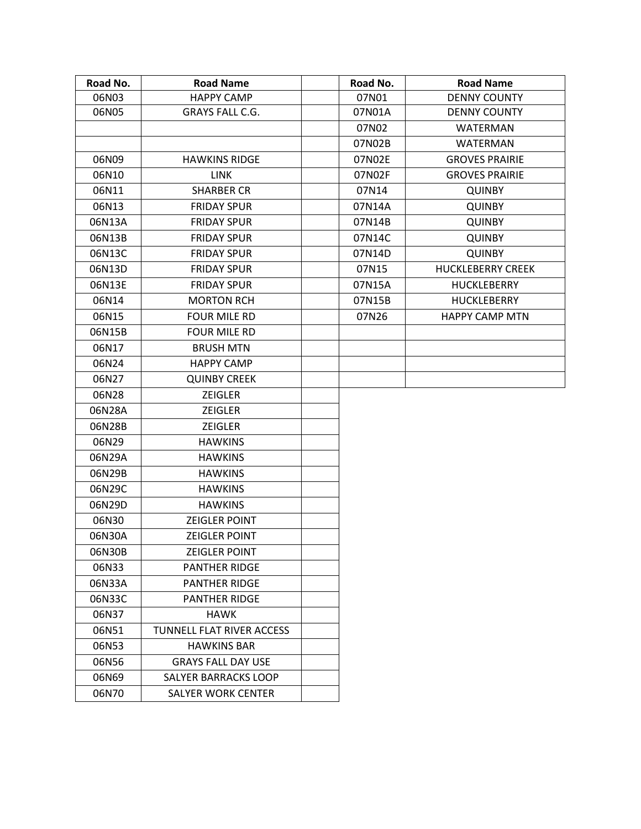| Road No. | <b>Road Name</b>            | Road No. | <b>Road Name</b>         |
|----------|-----------------------------|----------|--------------------------|
| 06N03    | <b>HAPPY CAMP</b>           | 07N01    | <b>DENNY COUNTY</b>      |
| 06N05    | <b>GRAYS FALL C.G.</b>      | 07N01A   | <b>DENNY COUNTY</b>      |
|          |                             | 07N02    | WATERMAN                 |
|          |                             | 07N02B   | <b>WATERMAN</b>          |
| 06N09    | <b>HAWKINS RIDGE</b>        | 07N02E   | <b>GROVES PRAIRIE</b>    |
| 06N10    | <b>LINK</b>                 | 07N02F   | <b>GROVES PRAIRIE</b>    |
| 06N11    | <b>SHARBER CR</b>           | 07N14    | <b>QUINBY</b>            |
| 06N13    | <b>FRIDAY SPUR</b>          | 07N14A   | <b>QUINBY</b>            |
| 06N13A   | <b>FRIDAY SPUR</b>          | 07N14B   | <b>QUINBY</b>            |
| 06N13B   | <b>FRIDAY SPUR</b>          | 07N14C   | <b>QUINBY</b>            |
| 06N13C   | <b>FRIDAY SPUR</b>          | 07N14D   | <b>QUINBY</b>            |
| 06N13D   | <b>FRIDAY SPUR</b>          | 07N15    | <b>HUCKLEBERRY CREEK</b> |
| 06N13E   | <b>FRIDAY SPUR</b>          | 07N15A   | <b>HUCKLEBERRY</b>       |
| 06N14    | <b>MORTON RCH</b>           | 07N15B   | <b>HUCKLEBERRY</b>       |
| 06N15    | <b>FOUR MILE RD</b>         | 07N26    | <b>HAPPY CAMP MTN</b>    |
| 06N15B   | <b>FOUR MILE RD</b>         |          |                          |
| 06N17    | <b>BRUSH MTN</b>            |          |                          |
| 06N24    | <b>HAPPY CAMP</b>           |          |                          |
| 06N27    | <b>QUINBY CREEK</b>         |          |                          |
| 06N28    | <b>ZEIGLER</b>              |          |                          |
| 06N28A   | <b>ZEIGLER</b>              |          |                          |
| 06N28B   | <b>ZEIGLER</b>              |          |                          |
| 06N29    | <b>HAWKINS</b>              |          |                          |
| 06N29A   | <b>HAWKINS</b>              |          |                          |
| 06N29B   | <b>HAWKINS</b>              |          |                          |
| 06N29C   | <b>HAWKINS</b>              |          |                          |
| 06N29D   | <b>HAWKINS</b>              |          |                          |
| 06N30    | <b>ZEIGLER POINT</b>        |          |                          |
| 06N30A   | <b>ZEIGLER POINT</b>        |          |                          |
| 06N30B   | <b>ZEIGLER POINT</b>        |          |                          |
| 06N33    | <b>PANTHER RIDGE</b>        |          |                          |
| 06N33A   | <b>PANTHER RIDGE</b>        |          |                          |
| 06N33C   | <b>PANTHER RIDGE</b>        |          |                          |
| 06N37    | <b>HAWK</b>                 |          |                          |
| 06N51    | TUNNELL FLAT RIVER ACCESS   |          |                          |
| 06N53    | <b>HAWKINS BAR</b>          |          |                          |
| 06N56    | <b>GRAYS FALL DAY USE</b>   |          |                          |
| 06N69    | <b>SALYER BARRACKS LOOP</b> |          |                          |
| 06N70    | SALYER WORK CENTER          |          |                          |